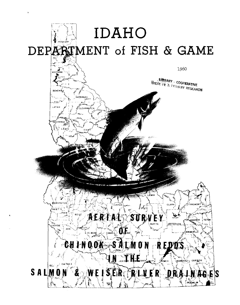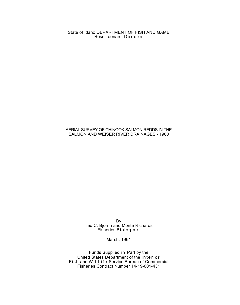State of Idaho DEPARTMENT OF FISH AND GAME Ross Leonard, Director

## AERIAL SURVEY OF CHINOOK SALMON REDDS IN THE SALMON AND WEISER RIVER DRAINAGES - 1960

By Ted C. Bjornn and Monte Richards Fisheries Biologists

March, 1961

Funds Supplied in Part by the United States Department of the Interior Fish and Wildlife Service Bureau of Commercial Fisheries Contract Number 14-19-001-431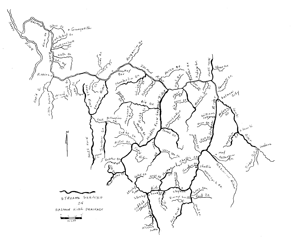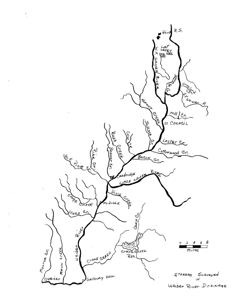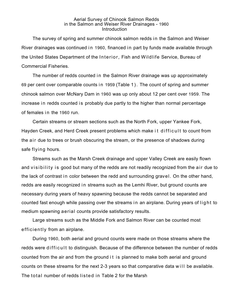## Aerial Survey of Chinook Salmon Redds in the Salmon and Weiser River Drainages - 1960 **Introduction**

The survey of spring and summer chinook salmon redds in the Salmon and Weiser River drainages was continued in 1960, financed in part by funds made available through the United States Department of the Interior, Fish and Wildlife Service, Bureau of Commercial Fisheries.

The number of redds counted in the Salmon River drainage was up approximately 69 per cent over comparable counts in 1959 (Table 1). The count of spring and summer chinook salmon over McNary Dam in 1960 was up only about 12 per cent over 1959. The increase in redds counted is probably due partly to the higher than normal percentage of females in the 1960 run.

Certain streams or stream sections such as the North Fork, upper Yankee Fork, Hayden Creek, and Herd Creek present problems which make it difficult to count from the air due to trees or brush obscuring the stream, or the presence of shadows during safe flying hours.

Streams such as the Marsh Creek drainage and upper Valley Creek are easily flown and visibility is good but many of the redds are not readily recognized from the air due to the lack of contrast in color between the redd and surrounding gravel. On the other hand, redds are easily recognized in streams such as the Lemhi River, but ground counts are necessary during years of heavy spawning because the redds cannot be separated and counted fast enough while passing over the streams in an airplane. During years of light to medium spawning aerial counts provide satisfactory results.

Large streams such as the Middle Fork and Salmon River can be counted most efficiently from an airplane.

During 1960, both aerial and ground counts were made on those streams where the redds were difficult to distinguish. Because of the difference between the number of redds counted from the air and from the ground it is planned to make both aerial and ground counts on these streams for the next 2-3 years so that comparative data will be available. The total number of redds listed in Table 2 for the Marsh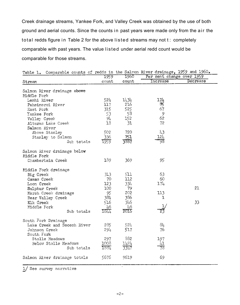Creek drainage streams, Yankee Fork, and Valley Creek was obtained by the use of both ground and aerial counts. Since the counts in past years were made only from the air the total redds figure in Table 2 for the above listed streams may not  $t$  : completely comparable with past years. The value listed under aerial redd count would be comparable for those streams.

| Table 1. Comparable counts of redds in the Salmon River drainage, 1959 and 1960. |       |       |                           |          |
|----------------------------------------------------------------------------------|-------|-------|---------------------------|----------|
|                                                                                  | 1959  | 1960  | Per cent change over 1959 |          |
| Stream                                                                           | count | count | Increase                  | Decrease |
| Salmon River drainage above<br>Middle Fork                                       |       |       |                           |          |
| Lemhi River                                                                      | 524   | 1434  | 174                       |          |
| Pahsimeroi River                                                                 | 117   | 216   | ीर्                       |          |
| East Fork                                                                        | 315   | 525   | 67                        |          |
| Yankee Fork                                                                      | 53    | 58    | 9                         |          |
| Valley Creek                                                                     | 94    | 152   | 62                        |          |
| Alturas Lake Creek                                                               | 18    | 31    | 72                        |          |
| Salmon River                                                                     |       |       |                           |          |
| Above Stanley                                                                    | 502   | 720   | 43                        |          |
| Stanley to Salmon                                                                | 336   | 751   | 124                       |          |
| Sub totals                                                                       | 1959. | 3887  | 98                        |          |
| Salmon River drainage below<br>Middle Fork                                       |       |       |                           |          |
| Chamberlain Creek                                                                | 189   | 369   | 95                        |          |
| Middle Fork drainage                                                             |       |       |                           |          |
| Big Creek                                                                        | 313   | 511   | 63                        |          |
| Camas Creek                                                                      | 70    | 112   | 60                        |          |
| Loon Creek                                                                       | 123   | 334   | 174                       |          |
| Sulphur Creek                                                                    | 100   | 79    |                           | 21       |
| Marsh Creek drainage                                                             | 95    | 202   | 113                       |          |
| Bear Valley Creek                                                                | 381   | 386   | $\mathbf{I}$              |          |
| Elk Creek                                                                        | 516   | 346   |                           | 33       |
| Middle Fork                                                                      | 46    | 46    |                           |          |
| Sub totals                                                                       | 1644  | 2016  |                           |          |
| South Fork Drainage                                                              |       |       |                           |          |
| Lake Creek and Secesh River                                                      | 285   | 524   | 84                        |          |
| Johnson Creek<br>South Fork                                                      | 291   | 517   | 76                        |          |
| Stolle Meadows                                                                   | 297   | 882   | 197                       |          |
| Below Stolle Meadows                                                             | 1008  | 1424  |                           |          |
| Sub totals                                                                       | 1881  | 3347  |                           |          |
| Salmon River drainage totals                                                     | 5676  | 9619  | 69                        |          |
| .                                                                                |       |       |                           |          |

 $\mathbf{a} = \mathbf{a}$ 

 $\frac{1}{3}$  See survey narrative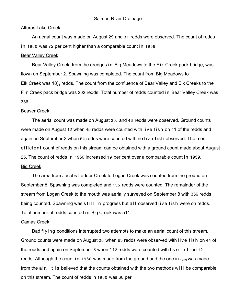# Alturas Lake Creek

An aerial count was made on August 29 and 31 redds were observed. The count of redds in 1960 was 72 per cent higher than a comparable count in 1959.

## Bear Valley Creek

Bear Valley Creek, from the dredges in Big Meadows to the Fir Creek pack bridge, was flown on September 2. Spawning was completed. The count from Big Meadows to Elk Creek was 18)<sub>4</sub> redds. The count from the confluence of Bear Valley and Elk Creeks to the Fir Creek pack bridge was 202 redds. Total number of redds counted in Bear Valley Creek was 386.

## Beaver Creek

The aerial count was made on August 20, and 43 redds were observed. Ground counts were made on August 12 when 45 redds were counted with live fish on 11 of the redds and again on September 2 when 54 redds were counted with no live fish observed. The most efficient count of redds on this stream can be obtained with a ground count made about August 25. The count of redds in 1960 increased 19 per cent over a comparable count in 1959. Big Creek

The area from Jacobs Ladder Creek to Logan Creek was counted from the ground on September 8. Spawning was completed and 155 redds were counted. The remainder of the stream from Logan Creek to the mouth was aerially surveyed on September 8 with 356 redds being counted. Spawning was still in progress but all observed live fish were on redds. Total number of redds counted in Big Creek was 511.

## Camas Creek

Bad flying conditions interrupted two attempts to make an aerial count of this stream. Ground counts were made on August 20 when 83 redds were observed with live fish on 44 of the redds and again on September 8 when 112 redds were counted with live fish on 12 redds. Although the count in 1960 was made from the ground and the one in  $_{1959}$  was made from the air, it is believed that the counts obtained with the two methods will be comparable on this stream. The count of redds in 1960 was 60 per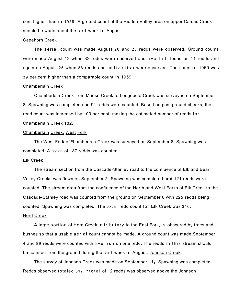cent higher than in 1959. A ground count of the Hidden Valley area on upper Camas Creek should be wade about the last week in August.

#### Capehorn Creek

The aerial count was made August 20 and 25 redds were observed. Ground counts were made August 12 when 32 redds were observed and live fish found on 11 redds and again on August 25 when 38 redds and no live fish were observed. The count in 1960 was 39 per cent higher than a comparable count in 1959.

#### Chamberlain Creek

Chamberlain Creek from Moose Creek to Lodgepole Creek was surveyed on September 8. Spawning was completed and 91 redds were counted. Based on past ground checks, the redd count was increased by 100 per cent, making the estimated number of redds for Chamberlain Creek 182.

## Chamberlain Creek, West Fork

The West Fork of Chamberlain Creek was surveyed on September 8. Spawning was completed, A total of 187 redds was counted.

#### Elk Creek

The stream section from the Cascade-Stanley road to the confluence of Elk and Bear Valley Creeks was flown on September 2. Spawning was completed **and** 121 redds were counted. The stream area from the confluence of the North and West Forks of Elk Creek to the Cascade-Stanley road was counted from the ground on September 6 with 225 redds being counted. Spawning was completed. The total redd count for Elk Creek was 316.

### Herd Creek

A large portion of Herd Creek, a tributary to the East Fork, is obscured by trees and bushes so that a usable aerial count cannot be made. **A** ground count was made September 4 and 89 redds were counted with live fish on one redd. The redds in this stream should be counted from the ground during the last week in August. Johnson Creek

The survey of Johnson Creek was made on September 11**<sup>4</sup>** . Spawning was completed. Redds observed totaled 517. Atotal of 12 redds was observed above the Johnson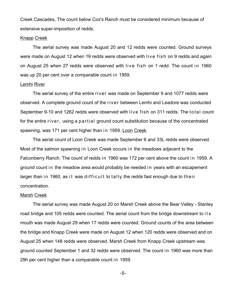Creek Cascades, The count below Cox's Ranch must be considered minimum because of extensive super-imposition of redds.

## Knapp Creek

The aerial survey was made August 20 and 12 redds were counted. Ground surveys were made on August 12 when 19 redds were observed with live fish on 9 redds and again on August 25 when 27 redds were observed with live fish on 1 redd. The count in 1960 was up 20 per cent over a comparable count in 1959.

#### Lemhi River

The aerial survey of the entire river was made on September 9 and 1077 redds were observed. A complete ground count of the river between Lemhi and Leadore was conducted September 9-10 and 1262 redds were observed with live fish on 311 redds. The total count for the entire river, using a partial ground count substitution because of the concentrated spawning, was 171 per cent higher than in 1959. Loon Creek

The aerial count of Loon Creek was made September 6 and 33L redds were observed. Most of the salmon spawning in Loon Creek occurs in the meadows adjacent to the Falconberry Ranch. The count of redds in 1960 was 172 per cent above the count in 1959. A ground count in the meadow area would probably be needed in years with an escapement larger than in 1960, as it was difficult to tally the redds fast enough due to their concentration.

#### Marsh Creek

The aerial survey was made August 20 on Marsh Creek above the Bear Valley - Stanley road bridge and 105 redds were counted. The aerial count from the bridge downstream to its mouth was made August 29 when 17 redds were counted. Ground counts of the area between the bridge and Knapp Creek were made on August 12 when 120 redds were observed and on August 25 when 148 redds were observed. Marsh Creek from Knapp Creek upstream was ground counted September 1 and 32 redds were observed. The count in 1960 was more than 29h per cent higher than a comparable count in 1959.

-5-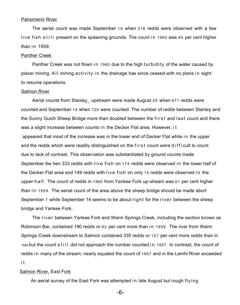## Pahsimeroi River

The aerial count was made September 19 when 216 redds were observed with a few live fish still present on the spawning grounds. The count in 1960 was 85 per cent higher than in  $1959$ .

#### Panther Creek

Panther Creek was not flown in 1960 due to the high turbidity of the water caused by placer mining. All mining activity in the drainage has since ceased with no plans in sight to resume operations.

## Salmon River

Aerial counts from Stanley upstream were made August 29 when 671 redds were counted and September 14 when 720 were counted. The number of redds between Stanley and the Sunny Gulch Sheep Bridge more than doubled between the first and last count and there was a slight increase between counts in the Decker Flat area. However, it appeared that most of the increase was in the lower end of Decker Flat while in the upper end the redds which were readily distinguished on the first count were diffi cult to count due to lack of contrast. This observation was substantiated by ground counts made September 6w hen 333 redds with live fish on 174 redds were observed in the lower half of the Decker Flat area and 149 redds with live fish on only 15 redds were observed in the upper half. The count of redds in 1960 from Yankee Fork up-stream was 61 per cent higher than in 1959. The aerial count of the area above the sheep bridge should be made abort September 7 while September 14 seems to be about right for the river between the sheep bridge and Yankee Fork,

The river between Yankee Fork and Warm Springs Creek, including the section known as Robinson Bar, contained 190 redds or 62 per cent more than in 1959. The river from Warm Springs Creek downstream to Salmon contained 335 redds or 157 per cent more redds than in 1959 but the count still did not approach the number counted in 1957. In contrast, the count of redds in many of the stream; nearly equaled the count of 1957 and in the Lemhi River exceeded it.

# Salmon River, East Fork

An aerial survey of the East Fork was attempted in late August but rough flying

-6-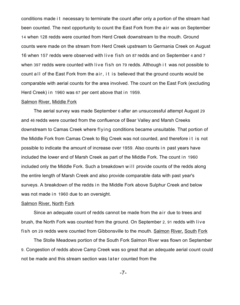conditions made i t necessary to terminate the count after only a portion of the stream had been counted. The next opportunity to count the East Fork from the air was on September 14 when 128 redds were counted from Herd Creek downstream to the mouth. Ground counts were made on the stream from Herd Creek upstream to Germania Creek on August 16 when 157 redds were observed with live fish on 87 redds and on September 4 and 7 when 397 redds were counted with live fish on 79 redds. Although i t was not possible to count all of the East Fork from the air, it is believed that the ground counts would be comparable with aerial counts for the area involved. The count on the East Fork (excluding Herd Creek) in 1960 was 67 per cent above that in 1959.

## Salmon River, Middle Fork

The aerial survey was made September 6 after an unsuccessful attempt August 29 and 46 redds were counted from the confluence of Bear Valley and Marsh Creeks downstream to Camas Creek where flying conditions became unsuitable. That portion of the Middle Fork from Camas Creek to Big Creek was not counted, and therefore i t is not possible to indicate the amount of increase over 1959. Also counts in past years have included the lower end of Marsh Creek as part of the Middle Fork. The count in 1960 included only the Middle Fork. Such a breakdown will provide counts of the redds along the entire length of Marsh Creek and also provide comparable data with past year's surveys. A breakdown of the redds in the Middle Fork above Sulphur Creek and below was not made in 1960 due to an oversight.

#### Salmon River, North Fork

Since an adequate count of redds cannot be made from the air due to trees and brush, the North Fork was counted from the ground. On September 2, 91 redds with live fish on 29 redds were counted from Gibbonsville to the mouth. Salmon River, South Fork

The Stolle Meadows portion of the South Fork Salmon River was flown on September 9. Congestion of redds above Camp Creek was so great that an adequate aerial count could not be made and this stream section was later counted from the

-7-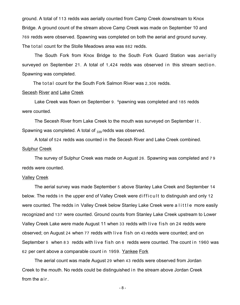ground. A total of 113 redds was aerially counted from Camp Creek downstream to Knox Bridge. A ground count of the stream above Camp Creek was made on September 10 and 769 redds were observed. Spawning was completed on both the aerial and ground survey. The total count for the Stolle Meadows area was 882 redds.

The South Fork from Knox Bridge to the South Fork Guard Station was aerially surveyed on September 21. A total of 1,424 redds was observed in this stream section. Spawning was completed.

The total count for the South Fork Salmon River was 2,306 redds.

## Secesh River and Lake Creek

Lake Creek was flown on September 9. Spawning was completed and 185 redds were counted.

The Secesh River from Lake Creek to the mouth was surveyed on September it. Spawning was completed. A total of  $_{339}$  redds was observed.

A total of 524 redds was counted in the Secesh River and Lake Creek combined. Sulphur Creek

The survey of Sulphur Creek was made on August 26. Spawning was completed and 7 9 redds were counted.

## Valley Creek

The aerial survey was made September 5 above Stanley Lake Creek and September 14 below. The redds in the upper end of Valley Creek were difficult to distinguish and only 12 were counted. The redds in Valley Creek below Stanley Lake Creek were a little more easily recognized and 137 were counted. Ground counts from Stanley Lake Creek upstream to Lower Valley Creek Lake were made August 11 when 33 redds with live fish on 24 redds were observed; on August 24 when 77 redds with live fish on 43 redds were counted; and on September 5 when 83 redds with live fish on 6 redds were counted. The count in 1960 was 62 per cent above a comparable count in 1959. Yankee Fork

The aerial count was made August 29 when 43 redds were observed from Jordan Creek to the mouth. No redds could be distinguished in the stream above Jordan Creek from the air.

-8-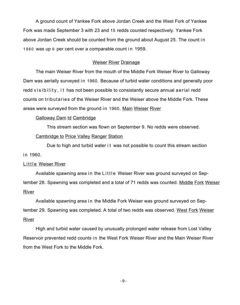A ground count of Yankee Fork above Jordan Creek and the West Fork of Yankee Fork was made September 3 with 23 and 15 redds counted respectively. Yankee Fork above Jordan Creek should be counted from the ground about August 25. The count in 1960 was up 9 per cent over a comparable count in 1959.

# Weiser River Drainage

The main Weiser River from the mouth of the Middle Fork Weiser River to Galloway Dam was aerially surveyed in 1960. Because of turbid water conditions and generally poor redd visibility, i t has not been possible to consistantly secure annual aerial redd counts on tributaries of the Weiser River and the Weiser above the Middle Fork. These areas were surveyed from the ground in 1960, Main Weiser River

Galloway Dam td Cambridge

This stream section was flown on September 9. No redds were observed.

## Cambridge to Price Valley Ranger Station

Due to high and turbid water i t was not possible to count this stream section in 1960.

## Little Weiser River

Available spawning area in the Little Weiser River was ground surveyed on September 28. Spawning was completed and a total of 71 redds was counted. Middle Fork Weiser River

Available spawning area in the Middle Fork Weiser was ground surveyed on September 29. Spawning was completed. A total of two redds was observed. West Fork Weiser River

High and turbid water caused by unusually prolonged water release from Lost Valley Reservoir prevented redd counts in the West Fork Weiser River and the Main Weiser River from the West Fork to the Middle Fork.

-9-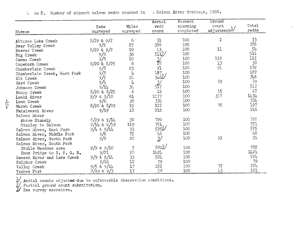|                              |                 |           | Aerial               | Percent   | Ground         |       |
|------------------------------|-----------------|-----------|----------------------|-----------|----------------|-------|
|                              | Date            | Miles     | redd                 | spawning  | count          | Total |
| Stream                       | surveyed        | surveyed  | count                | completed | adjustment-    | redds |
| Alturas Lake Creek           | $8/29$ & $9/2$  | $6 \cdot$ | 31                   | 100       | $\overline{c}$ | 33    |
|                              | 9/2             | 27        | 386                  | 100       |                | 386   |
| Bear Valley Creek            | $8/20$ & $9/2$  | 10        | $\downarrow$ 3       | 100       | 11             | 54    |
| Beaver Creek                 | 9/8             | 36        | 5112/                | 100       |                | 511   |
| Big Creek                    | 9/8             | 10        |                      | 100       | 112            | 112   |
| Camas Creek                  | $8/20$ & $8/25$ | 6         | $\frac{3}{25}$<br>91 | 100       | 13             | 38    |
| Capehorn Creek               | 9/8             | 23        |                      | 100       | 91             | 182   |
| Chamberlain Creek            |                 | Į†        | 187 <sub>o</sub>     | 100       |                | 187   |
| Chamberlain Creek, West Fork | 9/8<br>9/2      | $2+$      | 316/                 | 100       |                | 346   |
| Elk Creek                    | 9/4             | 4         | 3,                   | 100       | 89             | 89    |
| Herd Creek                   |                 | 34        |                      | 100       |                | 517   |
| Johnson Creek                | 9/11            |           | 12                   | 100       | 15             | 27    |
| Knapp Creek                  | $8/20$ & $8/25$ | 6         |                      |           |                | 1434  |
| Lemhi River                  | $9/9$ & $9/10$  | 61        | 1077                 | 100       | 357            | 334   |
| Loon Creek                   | 9/6             | 30        | 334                  | 100       |                |       |
| Marsh Creek                  | $8/20$ & $8/29$ | 15        | 122                  | 100       | 75             | 197   |
| Pahsimeroi River             | 9/19            | 18        | 216                  | 100       |                | 216   |
| Salmon River                 |                 |           |                      |           |                |       |
| Above Stanely                | $8/29$ & $9/14$ | 30        | 720                  | 100       |                | 720   |
| Stanley to Salmon            | $9/14$ & $9/19$ | 119       | 751                  | 100       |                | 751   |
| Salmon River, East Fork      | $9/14$ & $9/11$ | 33        | 525≦                 | 100       |                | 525   |
| Salmon River, Middle Fork    | 9/6             | 75        |                      | 100       |                | 46    |
| Salmon River, North Fork     | 9/2             | 20        | 46<br>3/             | 100       | 91             | 91    |
| Salmon River, South Fork     |                 |           |                      |           |                |       |
| Stolle Meadows area          | $9/9$ & $9/10$  |           | $882^{2}$            | 100       |                | 882   |
| Knox Bridge to S. F. G. S.   | 9/21            | 28        | 1424                 | 100       |                | 1424  |
| Secesh River and Lake Creek  | $9/9$ & $9/11$  | 33        | 524                  | 100       |                | 524   |
| Sulphur Creek                | 8/26            | 12        | 79                   | 100       |                | 79    |
| Valley Creek                 | 9/5<br>& 9/14   | 17        | 152                  | 100       | 72             | 22L   |
| Yankee Fork                  | 8/29 & 9/3      | 17        | 58                   | 100       | 43             | 101   |

1 le 2. Number of chinook salmon redds counted in , Salmon River drainage, 1960.

 $\frac{1}{2}$ / Aerial counts adjusted due to unfavorable observation conditions.<br>2/ Partial ground count substitution.<br>3/ See survey narrative.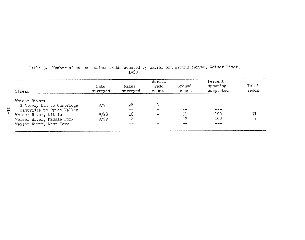| Stream                    | Date<br>surveyed   | Miles<br>surveyed | Aerial<br>redd<br>count | Ground<br>count | Percent<br>spawning<br>completed | Total<br>redds |
|---------------------------|--------------------|-------------------|-------------------------|-----------------|----------------------------------|----------------|
| Weiser River:             |                    |                   |                         |                 |                                  |                |
| Galloway Dam to Cambridge | 9/9                | -28               | 0                       |                 |                                  |                |
| Cambridge to Price Valley | <b>000 000 000</b> | $- -$             |                         | $-20$           | ---                              |                |
| Weiser River, Little      | 9/28               | 16                | -                       | 71              | 100                              |                |
| Weiser River, Middle Fork | 9/29               | 8                 | and .                   | ≏               | 100                              |                |
| Weiser River, West Fork   |                    | --                |                         | anna Luc        |                                  |                |

| Table 3. Number of chinook salmon redds counted by aerial and ground survey, Weiser River, |  |  |      |  |  |  |  |
|--------------------------------------------------------------------------------------------|--|--|------|--|--|--|--|
|                                                                                            |  |  | 1960 |  |  |  |  |

 $\frac{1}{\sqrt{1}}$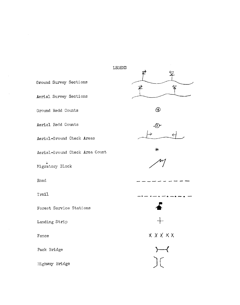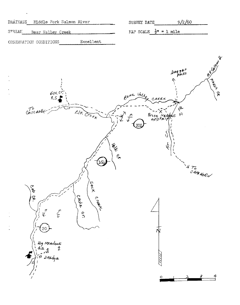|                        | DRAINAGE Middle Fork Salmon River |            | SURVEY DATE | 9/2/60                                               |  |
|------------------------|-----------------------------------|------------|-------------|------------------------------------------------------|--|
| STREAM                 | Bear Valley Creek                 |            |             | MAP SCALE $\frac{1}{2}$ <sup><i>n</i></sup> = 1 mile |  |
| PREFECTATION CONTINUES |                                   | Excellent. |             |                                                      |  |

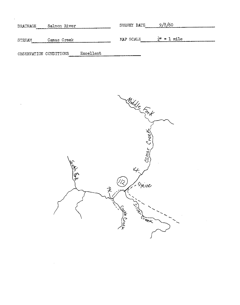| Salmon River<br>DRAINAGE |             |           | 9/8/60<br>SURVEY DATE |                        |  |  |
|--------------------------|-------------|-----------|-----------------------|------------------------|--|--|
| STREAM                   | Camas Creek |           | MAP SCALE             | $\frac{1}{4}$ = 1 mile |  |  |
| OBSERVATION CONDITIONS   |             | Excellent |                       |                        |  |  |

 $\bar{\lambda}$ 

 $\sim$   $\sim$ 

 $\sim$   $\sim$ 

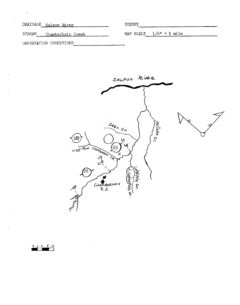DRAINAGE Salmon River

STREAM Chamberlain Creek

SURVEY

MAP SCALE  $1/6" = 1$  mile

OBSERVATION CONDITIONS



 $01234$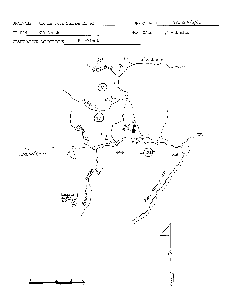| DRAINAGE     | Middle Fork Salmon River | SURVEY DATE                                    | $9/2$ & $9/6/60$ |
|--------------|--------------------------|------------------------------------------------|------------------|
| <b>TREAM</b> | Elk Creek                | MAP SCALE $\frac{1}{2}$ <sup>11</sup> = 1 mile |                  |

Excellent OBSERVATION CONDITIONS

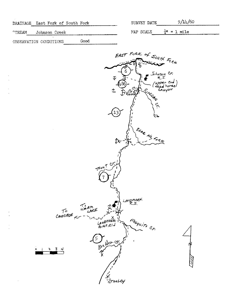| DRAINAGE East Fork of South Fork      | 9/14/60<br>SURVEY DATE                                                                                                               |
|---------------------------------------|--------------------------------------------------------------------------------------------------------------------------------------|
| Johnson Creek<br>TREAM                | $\frac{1}{4}$ = 1 mile<br>MAP SCALE                                                                                                  |
| Good<br>OBSERVATION CONDITIONS        |                                                                                                                                      |
| $\triangledown$<br>$\hat{\mathbb{L}}$ | EAST FORK of SOUTH FORK<br>Johnson Cr.<br>(upper end)<br>(dead horse)<br>Canyon<br>Roegan<br>$\mathcal{F}$ R $u$<br>$\lesssim$<br>ದಿ |

Jx-

LANDMARK

Meguito CH

Trout Cr.

 $\overline{7}$ 

LANDMARK<br>LANDMARK

Boulder cr.

SEAR No FORK

 $\frac{234}{2}$ 

O

 $\bar{\psi}$ 

 $CoseCADE \sim -\frac{1}{2}$ 

STANLEY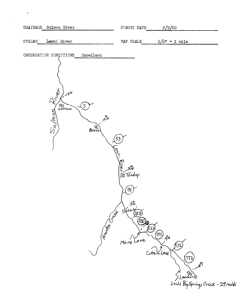|        | DRAINAGE Salmon River                                                    |                                                       | SURVEY DATE                                                                                                | 9/9/60                                  |                             |                                                     |
|--------|--------------------------------------------------------------------------|-------------------------------------------------------|------------------------------------------------------------------------------------------------------------|-----------------------------------------|-----------------------------|-----------------------------------------------------|
| STREAM | Lemhi River                                                              |                                                       | MAP SCALE                                                                                                  |                                         | $1/6$ <sup>n</sup> = 1 mile |                                                     |
|        | OBSERVATION CONDITIONS<br><b>CLUBE</b><br>$x^4$<br>$rac{q}{s}$<br>Salmon | Excellent<br>心<br>Bakel<br>53<br><b>Hambook Creek</b> | <b>Contract of the Contract of School</b><br>$^{'}85$ ,<br>$\frac{10}{100}$<br>(25)<br>(219)<br>Meins Lane | $\left( 276\right)$<br>凸<br>Cottam Lane | 531<br>771 ج                | 八<br>SLeadord<br>Lenhi Big Springs Creek - 29 redds |

 $\langle \bullet \rangle$  .

 $\frac{1}{\sqrt{2}}$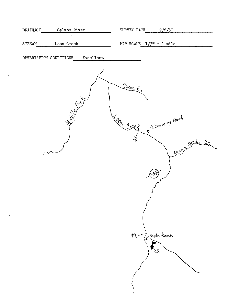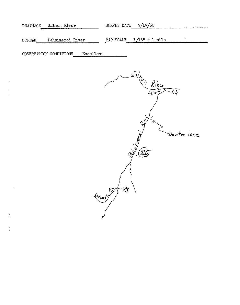|               | DRAINAGE Salmon River | SURVEY DATE $9/19/60$                                 |
|---------------|-----------------------|-------------------------------------------------------|
| <b>STREAM</b> | Pahsimeroi River      | MAP SCALE $1/16$ <sup><math>\mu</math></sup> = 1 mile |

OBSERVATION CONDITIONS Excellent

 $\sim$ 

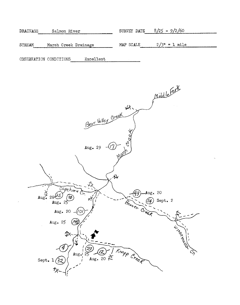| DRAINAGE<br>Salmon River                    | SURVEY DATE $8/25 - 9/2/60$ |
|---------------------------------------------|-----------------------------|
| MAP SCALE<br>STREAM<br>Marsh Creek Drainage | $2/3$ <sup>n</sup> = 1 mile |

Excellent OBSERVATION CONDITIONS

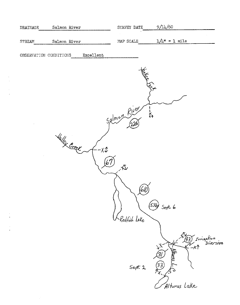| ${\tt DRAINAGE}$ | Salmon River           |               | SURVEY DATE  | 9/14/60                                                  |
|------------------|------------------------|---------------|--------------|----------------------------------------------------------|
| STREAM           | Salmon River           |               | MAP SCALE    | $1/\mu$ = 1 mile                                         |
|                  | OBSERVATION CONDITIONS | Excellent     |              |                                                          |
|                  |                        |               |              |                                                          |
|                  |                        |               |              | <b>RECISERADAMENT</b>                                    |
|                  |                        |               |              |                                                          |
|                  |                        |               |              |                                                          |
|                  |                        |               | Salmon River | ー<br>くり                                                  |
|                  |                        |               |              |                                                          |
|                  | <b>Lallex Creek</b>    | $-X^{\prime}$ |              |                                                          |
|                  |                        |               |              |                                                          |
|                  |                        |               |              |                                                          |
|                  |                        |               |              |                                                          |
|                  |                        |               |              | (536)                                                    |
|                  |                        |               | Redfish Lake | Sept. 6                                                  |
|                  |                        |               |              |                                                          |
|                  |                        |               |              | (43)<br><i>Irrigation</i><br>Diversion                   |
|                  |                        |               |              | バデ<br>-x1<br>Albree_<br><u>(31</u>                       |
|                  |                        |               | $S$ ept. $2$ | $\widetilde{\mathcal{Z}}$<br>$\widetilde{\mathcal{I}_X}$ |
|                  |                        |               |              | Alturas Lake                                             |
|                  |                        |               |              |                                                          |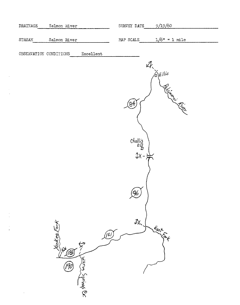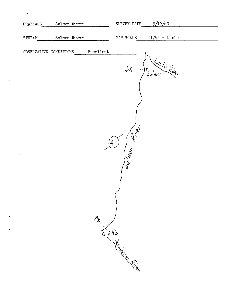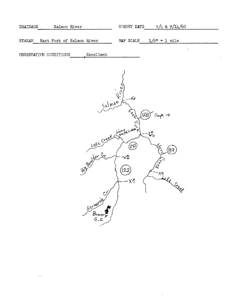| DRAINAGE | Salmon River              |           | SURVEY DATE | $9/4$ & $9/14/60$          |  |
|----------|---------------------------|-----------|-------------|----------------------------|--|
| STREAM   | East Fork of Salmon River |           |             | MAP SCALE $1/6^n = 1$ mile |  |
|          |                           |           |             |                            |  |
|          | OBSERVATION CONDITIONS    | Excellent |             |                            |  |

 $\overline{\phantom{a}}$ 



 $\hat{\mathcal{A}}$ 

 $\epsilon$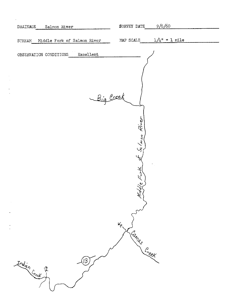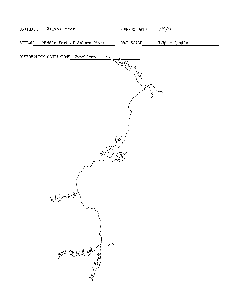| DRAINAGE      | Salmon River                           | 9/6/60<br>SURVEY DATE |                               |
|---------------|----------------------------------------|-----------------------|-------------------------------|
| <b>STREAM</b> | Middle Fork of Salmon River            | MAP SCALE             | $1/l_1$ <sup>n</sup> = 1 mile |
|               | OBSERVATION CONDITIONS Excellent       | Indian Creek          |                               |
|               |                                        | そ                     |                               |
|               | Middle route                           |                       |                               |
|               |                                        |                       |                               |
|               | Sulphur Creek                          |                       |                               |
|               |                                        |                       |                               |
|               | gear Valley Creek June<br>1997<br>1997 |                       |                               |
|               |                                        |                       |                               |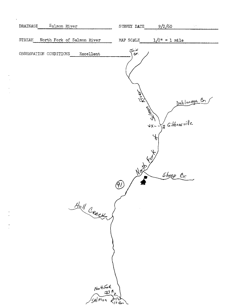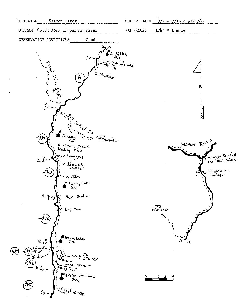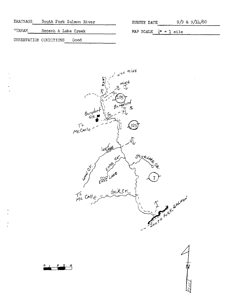| <b>DRATNAGE</b>        | South Fork Salmon River | SURVEY DATE                      | $9/9$ & $9/\frac{1}{4}/60$ |
|------------------------|-------------------------|----------------------------------|----------------------------|
| $\texttt{^cTEREM}$     | Secesh & Lake Creek     | MAP SCALE $\frac{1}{4}$ = 1 mile |                            |
| OBSERVATION CONDITIONS | Good                    |                                  |                            |



 $\circ$ 

 $\sim$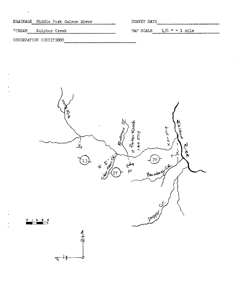| DRAINAGE Middle Fork Salmon River | SURVEY DATE                    |
|-----------------------------------|--------------------------------|
| STREAM Sulphur Creek              | MAP SCALE $1/6$ $\mu = 1$ mile |
| ORSERVATION CONDITIONS            |                                |

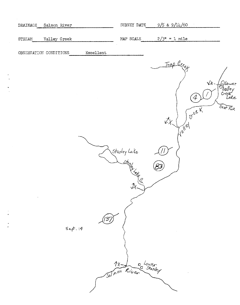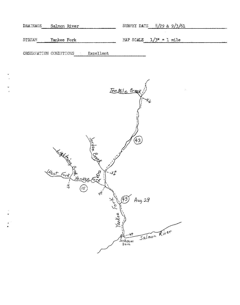| DRAINAGE | Salmon River                                               | $8/29$ & $9/3/61$<br>SURVEY DATE                     |
|----------|------------------------------------------------------------|------------------------------------------------------|
| STREAM   | Yankee Fork                                                | MAP SCALE $1/3^n = 1$ mile                           |
|          | Excellent<br>OBSERVATION CONDITIONS                        |                                                      |
|          |                                                            | Ien Mile Creek!<br>$\mathcal{O}$<br>ΧJ               |
|          | Jordan are                                                 | 43,                                                  |
|          | West Fork Jankeer F<br>$-\frac{x}{\sqrt{2}}$<br>⇐<br>Fork, | ╱<br>(43)<br>Aug $29$                                |
|          |                                                            | Yankee<br>Salmon River<br>-*1<br>A<br>Sunbeam<br>Dam |

 $\frac{1}{2}$ 

 $\frac{1}{2}$ 

 $\frac{1}{2}$  ).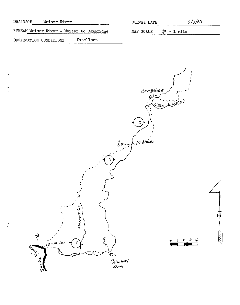| DRAINAGE               | Weiser River |                                           | SURVEY DATE                                          | 9/9/60 |  |
|------------------------|--------------|-------------------------------------------|------------------------------------------------------|--------|--|
|                        |              | STREAM Weiser River - Weiser to Cambridge | MAP SCALE $\frac{1}{4}$ <sup><i>n</i></sup> = 1 mile |        |  |
| OBSERVATION CONDITIONS |              | Excellent                                 |                                                      |        |  |

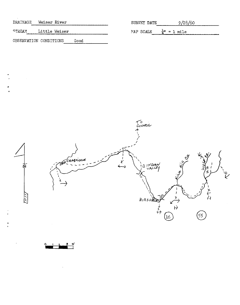| DRATNAGE      | Weiser River           |      | SURVEY DATE                                   | 9/28/60 |
|---------------|------------------------|------|-----------------------------------------------|---------|
| <b>STREAM</b> | Little Weiser          |      | MAP SCALE $\frac{1}{2}$ <sup>1</sup> = 1 mile |         |
|               | OBSERVATION CONDITIONS | Good |                                               |         |

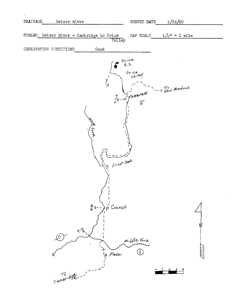